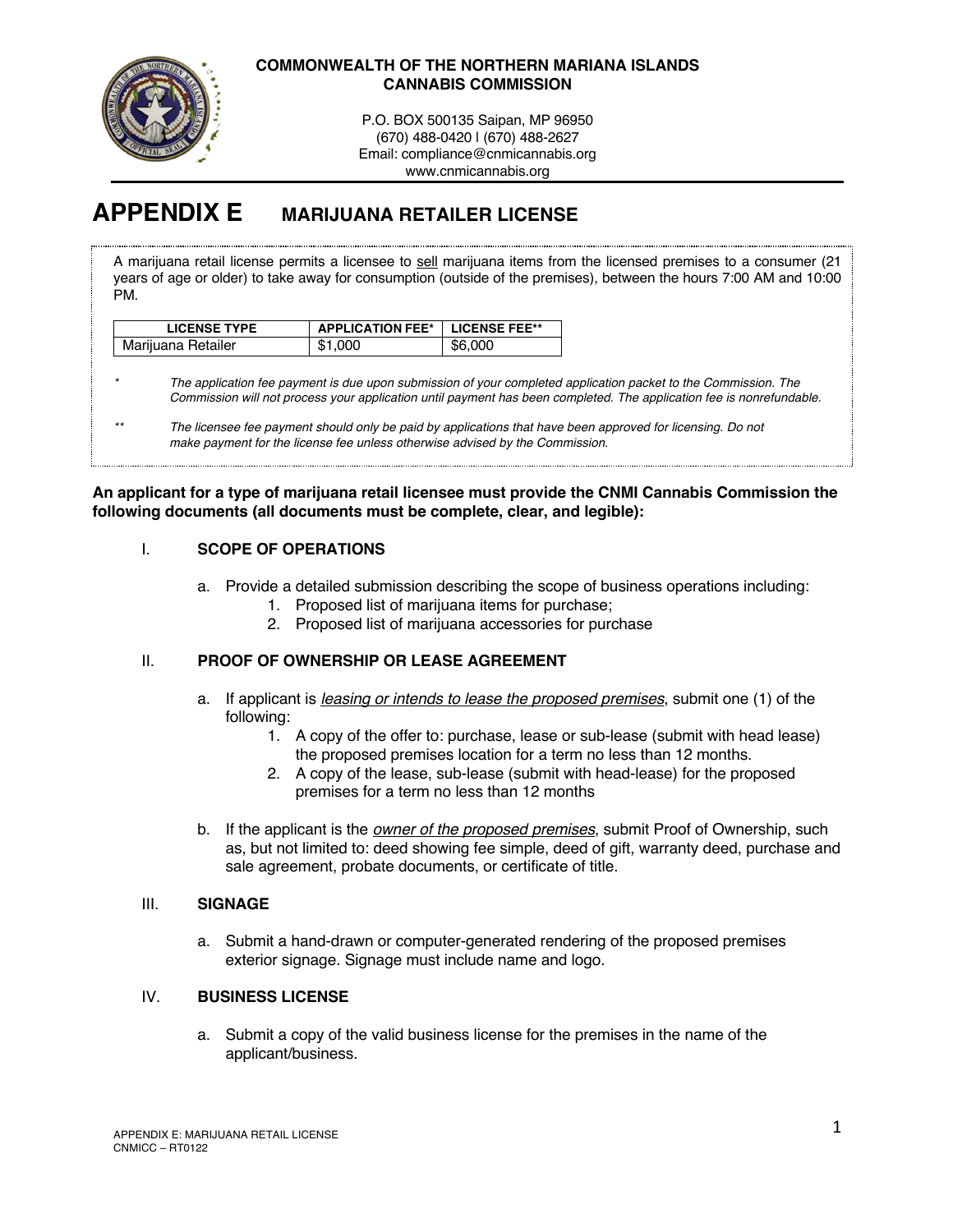

# **COMMONWEALTH OF THE NORTHERN MARIANA ISLANDS CANNABIS COMMISSION**

P.O. BOX 500135 Saipan, MP 96950 (670) 488-0420 | (670) 488-2627 Email: compliance@cnmicannabis.org www.cnmicannabis.org

# **APPENDIX E MARIJUANA RETAILER LICENSE**

A marijuana retail license permits a licensee to sell marijuana items from the licensed premises to a consumer (21 years of age or older) to take away for consumption (outside of the premises), between the hours 7:00 AM and 10:00 PM.

| <b>LICENSE TYPE</b> | <b>APPLICATION FEE*   LICENSE FEE**</b> |         |
|---------------------|-----------------------------------------|---------|
| Marijuana Retailer  | \$1,000                                 | \$6,000 |

*\* The application fee payment is due upon submission of your completed application packet to the Commission. The Commission will not process your application until payment has been completed. The application fee is nonrefundable.*

#### **An applicant for a type of marijuana retail licensee must provide the CNMI Cannabis Commission the following documents (all documents must be complete, clear, and legible):**

# I. **SCOPE OF OPERATIONS**

- a. Provide a detailed submission describing the scope of business operations including:
	- 1. Proposed list of marijuana items for purchase;
	- 2. Proposed list of marijuana accessories for purchase

# II. **PROOF OF OWNERSHIP OR LEASE AGREEMENT**

- a. If applicant is *leasing or intends to lease the proposed premises*, submit one (1) of the following:
	- 1. A copy of the offer to: purchase, lease or sub-lease (submit with head lease) the proposed premises location for a term no less than 12 months.
	- 2. A copy of the lease, sub-lease (submit with head-lease) for the proposed premises for a term no less than 12 months
- b. If the applicant is the *owner of the proposed premises*, submit Proof of Ownership, such as, but not limited to: deed showing fee simple, deed of gift, warranty deed, purchase and sale agreement, probate documents, or certificate of title.

# III. **SIGNAGE**

a. Submit a hand-drawn or computer-generated rendering of the proposed premises exterior signage. Signage must include name and logo.

# IV. **BUSINESS LICENSE**

a. Submit a copy of the valid business license for the premises in the name of the applicant/business.

*<sup>\*\*</sup> The licensee fee payment should only be paid by applications that have been approved for licensing. Do not make payment for the license fee unless otherwise advised by the Commission.*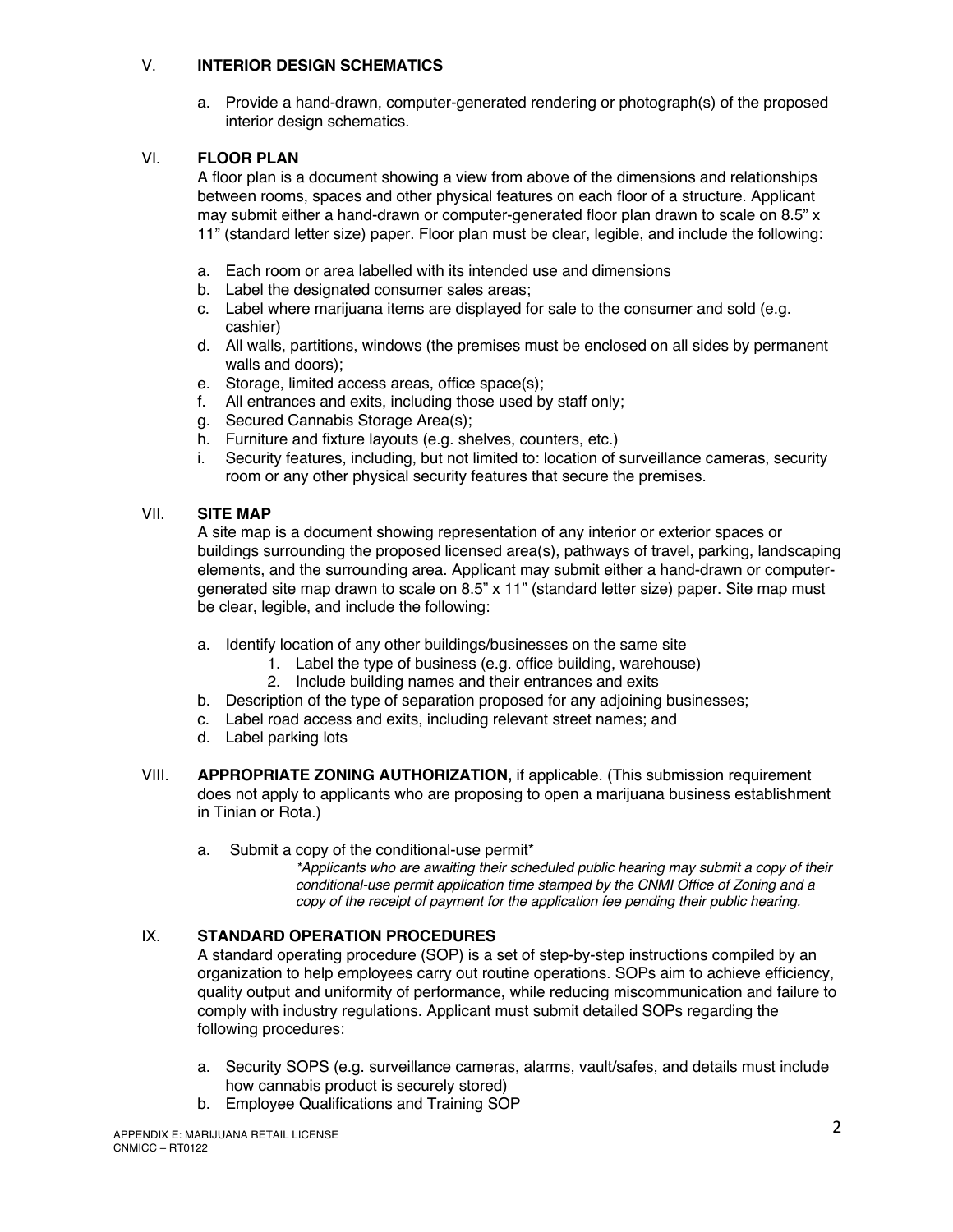# V. **INTERIOR DESIGN SCHEMATICS**

a. Provide a hand-drawn, computer-generated rendering or photograph(s) of the proposed interior design schematics.

# VI. **FLOOR PLAN**

A floor plan is a document showing a view from above of the dimensions and relationships between rooms, spaces and other physical features on each floor of a structure. Applicant may submit either a hand-drawn or computer-generated floor plan drawn to scale on 8.5" x 11" (standard letter size) paper. Floor plan must be clear, legible, and include the following:

- a. Each room or area labelled with its intended use and dimensions
- b. Label the designated consumer sales areas;
- c. Label where marijuana items are displayed for sale to the consumer and sold (e.g. cashier)
- d. All walls, partitions, windows (the premises must be enclosed on all sides by permanent walls and doors);
- e. Storage, limited access areas, office space(s);
- f. All entrances and exits, including those used by staff only;
- g. Secured Cannabis Storage Area(s);
- h. Furniture and fixture layouts (e.g. shelves, counters, etc.)
- i. Security features, including, but not limited to: location of surveillance cameras, security room or any other physical security features that secure the premises.

# VII. **SITE MAP**

A site map is a document showing representation of any interior or exterior spaces or buildings surrounding the proposed licensed area(s), pathways of travel, parking, landscaping elements, and the surrounding area. Applicant may submit either a hand-drawn or computergenerated site map drawn to scale on 8.5" x 11" (standard letter size) paper. Site map must be clear, legible, and include the following:

- a. Identify location of any other buildings/businesses on the same site
	- 1. Label the type of business (e.g. office building, warehouse)
		- 2. Include building names and their entrances and exits
- b. Description of the type of separation proposed for any adjoining businesses;
- c. Label road access and exits, including relevant street names; and
- d. Label parking lots
- VIII. **APPROPRIATE ZONING AUTHORIZATION,** if applicable. (This submission requirement does not apply to applicants who are proposing to open a marijuana business establishment in Tinian or Rota.)
	- a. Submit a copy of the conditional-use permit\*

*\*Applicants who are awaiting their scheduled public hearing may submit a copy of their conditional-use permit application time stamped by the CNMI Office of Zoning and a copy of the receipt of payment for the application fee pending their public hearing.* 

# IX. **STANDARD OPERATION PROCEDURES**

A standard operating procedure (SOP) is a set of step-by-step instructions compiled by an organization to help employees carry out routine operations. SOPs aim to achieve efficiency, quality output and uniformity of performance, while reducing miscommunication and failure to comply with industry regulations. Applicant must submit detailed SOPs regarding the following procedures:

- a. Security SOPS (e.g. surveillance cameras, alarms, vault/safes, and details must include how cannabis product is securely stored)
- b. Employee Qualifications and Training SOP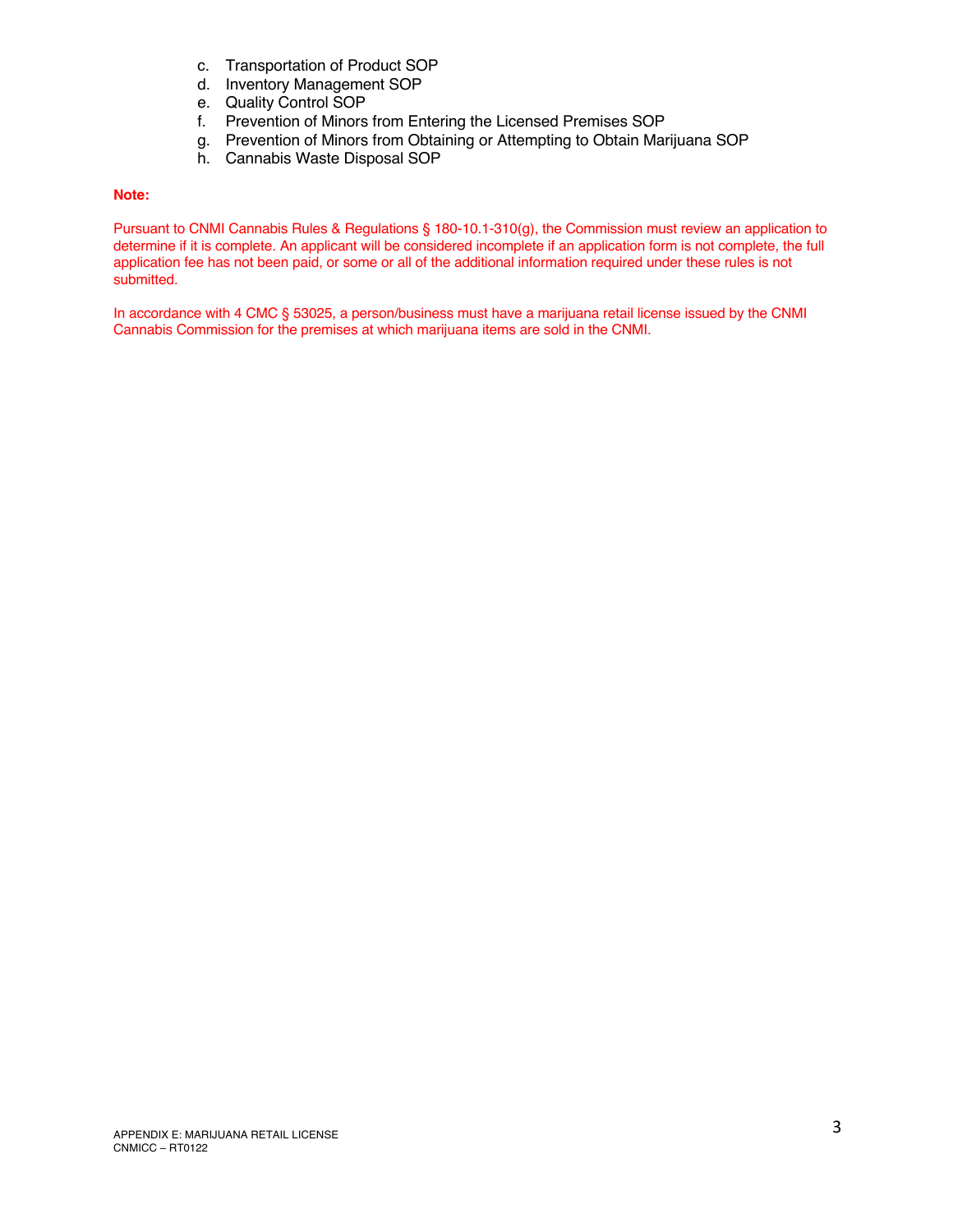- c. Transportation of Product SOP
- d. Inventory Management SOP
- e. Quality Control SOP
- f. Prevention of Minors from Entering the Licensed Premises SOP
- g. Prevention of Minors from Obtaining or Attempting to Obtain Marijuana SOP
- h. Cannabis Waste Disposal SOP

#### **Note:**

Pursuant to CNMI Cannabis Rules & Regulations § 180-10.1-310(g), the Commission must review an application to determine if it is complete. An applicant will be considered incomplete if an application form is not complete, the full application fee has not been paid, or some or all of the additional information required under these rules is not submitted.

In accordance with 4 CMC § 53025, a person/business must have a marijuana retail license issued by the CNMI Cannabis Commission for the premises at which marijuana items are sold in the CNMI.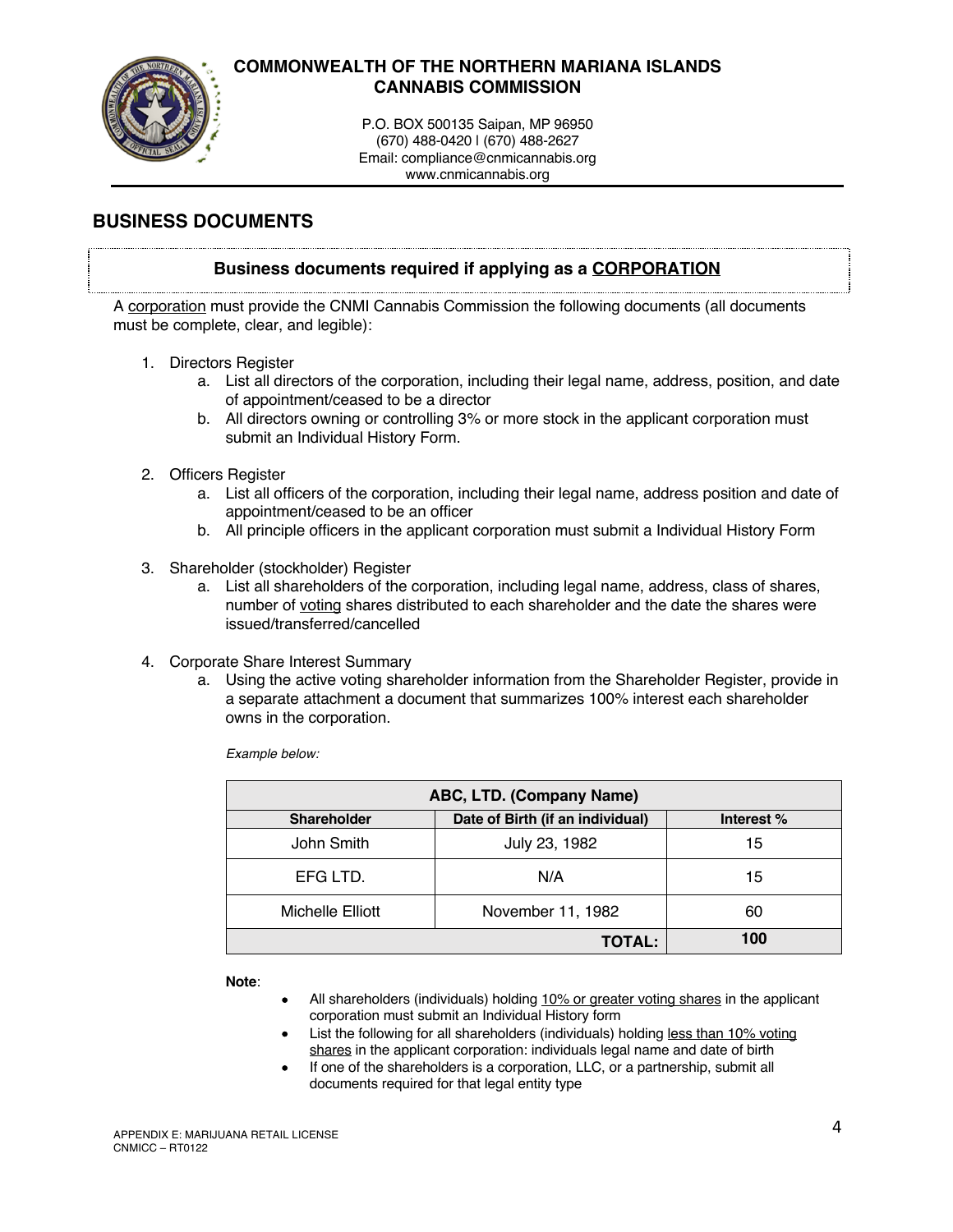

# **COMMONWEALTH OF THE NORTHERN MARIANA ISLANDS CANNABIS COMMISSION**

P.O. BOX 500135 Saipan, MP 96950 (670) 488-0420 | (670) 488-2627 Email: compliance@cnmicannabis.org www.cnmicannabis.org

# **BUSINESS DOCUMENTS**

# **Business documents required if applying as a CORPORATION**

A corporation must provide the CNMI Cannabis Commission the following documents (all documents must be complete, clear, and legible):

- 1. Directors Register
	- a. List all directors of the corporation, including their legal name, address, position, and date of appointment/ceased to be a director
	- b. All directors owning or controlling 3% or more stock in the applicant corporation must submit an Individual History Form.
- 2. Officers Register
	- a. List all officers of the corporation, including their legal name, address position and date of appointment/ceased to be an officer
	- b. All principle officers in the applicant corporation must submit a Individual History Form
- 3. Shareholder (stockholder) Register
	- a. List all shareholders of the corporation, including legal name, address, class of shares, number of voting shares distributed to each shareholder and the date the shares were issued/transferred/cancelled
- 4. Corporate Share Interest Summary
	- a. Using the active voting shareholder information from the Shareholder Register, provide in a separate attachment a document that summarizes 100% interest each shareholder owns in the corporation.

*Example below:*

| ABC, LTD. (Company Name) |                                  |            |  |
|--------------------------|----------------------------------|------------|--|
| <b>Shareholder</b>       | Date of Birth (if an individual) | Interest % |  |
| John Smith               | July 23, 1982                    | 15         |  |
| EFG LTD.                 | N/A                              | 15         |  |
| Michelle Elliott         | November 11, 1982                | 60         |  |
|                          | <b>TOTAL:</b>                    | 100        |  |

**Note**:

- All shareholders (individuals) holding 10% or greater voting shares in the applicant corporation must submit an Individual History form
- List the following for all shareholders (individuals) holding less than 10% voting shares in the applicant corporation: individuals legal name and date of birth
- If one of the shareholders is a corporation, LLC, or a partnership, submit all documents required for that legal entity type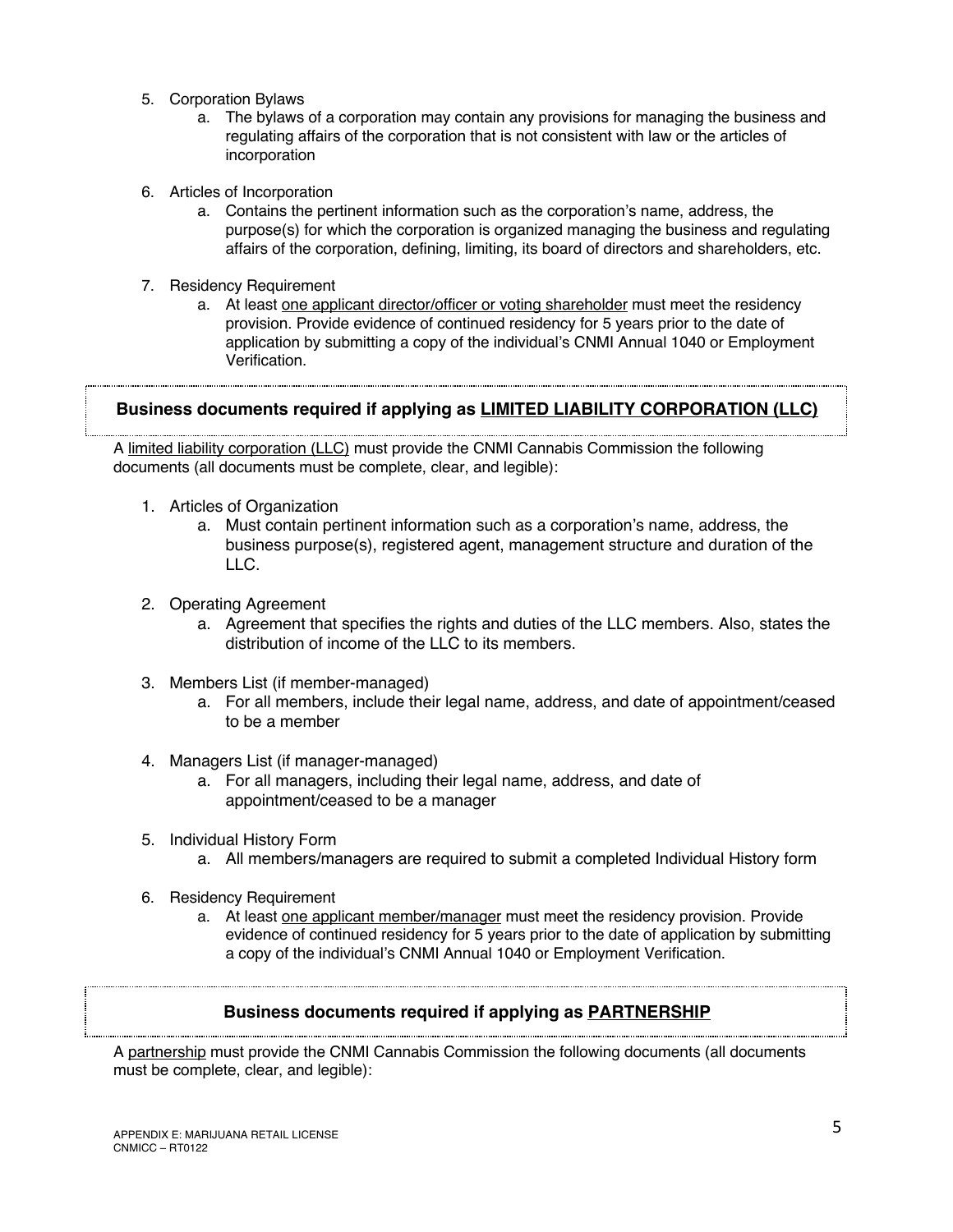- 5. Corporation Bylaws
	- a. The bylaws of a corporation may contain any provisions for managing the business and regulating affairs of the corporation that is not consistent with law or the articles of incorporation
- 6. Articles of Incorporation
	- a. Contains the pertinent information such as the corporation's name, address, the purpose(s) for which the corporation is organized managing the business and regulating affairs of the corporation, defining, limiting, its board of directors and shareholders, etc.
- 7. Residency Requirement
	- a. At least one applicant director/officer or voting shareholder must meet the residency provision. Provide evidence of continued residency for 5 years prior to the date of application by submitting a copy of the individual's CNMI Annual 1040 or Employment Verification.

# **Business documents required if applying as LIMITED LIABILITY CORPORATION (LLC)**

A limited liability corporation (LLC) must provide the CNMI Cannabis Commission the following documents (all documents must be complete, clear, and legible):

- 1. Articles of Organization
	- a. Must contain pertinent information such as a corporation's name, address, the business purpose(s), registered agent, management structure and duration of the LLC.
- 2. Operating Agreement
	- a. Agreement that specifies the rights and duties of the LLC members. Also, states the distribution of income of the LLC to its members.
- 3. Members List (if member-managed)
	- a. For all members, include their legal name, address, and date of appointment/ceased to be a member
- 4. Managers List (if manager-managed)
	- a. For all managers, including their legal name, address, and date of appointment/ceased to be a manager
- 5. Individual History Form
	- a. All members/managers are required to submit a completed Individual History form
- 6. Residency Requirement
	- a. At least one applicant member/manager must meet the residency provision. Provide evidence of continued residency for 5 years prior to the date of application by submitting a copy of the individual's CNMI Annual 1040 or Employment Verification.

# **Business documents required if applying as PARTNERSHIP**

A partnership must provide the CNMI Cannabis Commission the following documents (all documents must be complete, clear, and legible):